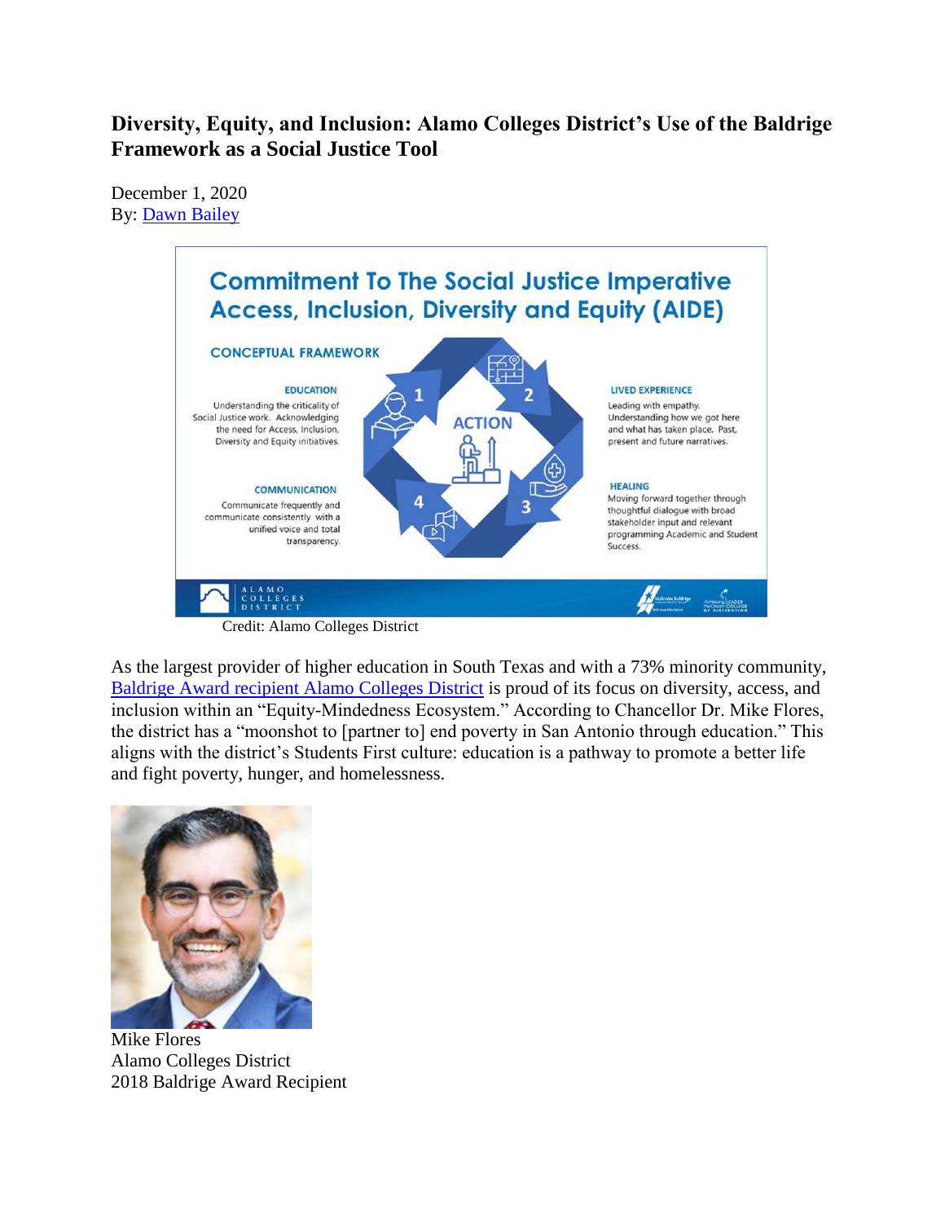# **Diversity, Equity, and Inclusion: Alamo Colleges District's Use of the Baldrige Framework as a Social Justice Tool**

December 1, 2020 By: [Dawn Bailey](https://www.nist.gov/blogs/blogrige/authors/dawn-bailey)



As the largest provider of higher education in South Texas and with a 73% minority community, [Baldrige Award recipient Alamo](https://www.nist.gov/baldrige/alamo-colleges-district) Colleges District is proud of its focus on diversity, access, and inclusion within an "Equity-Mindedness Ecosystem." According to Chancellor Dr. Mike Flores, the district has a "moonshot to [partner to] end poverty in San Antonio through education." This aligns with the district's Students First culture: education is a pathway to promote a better life and fight poverty, hunger, and homelessness.



Mike Flores Alamo Colleges District 2018 Baldrige Award Recipient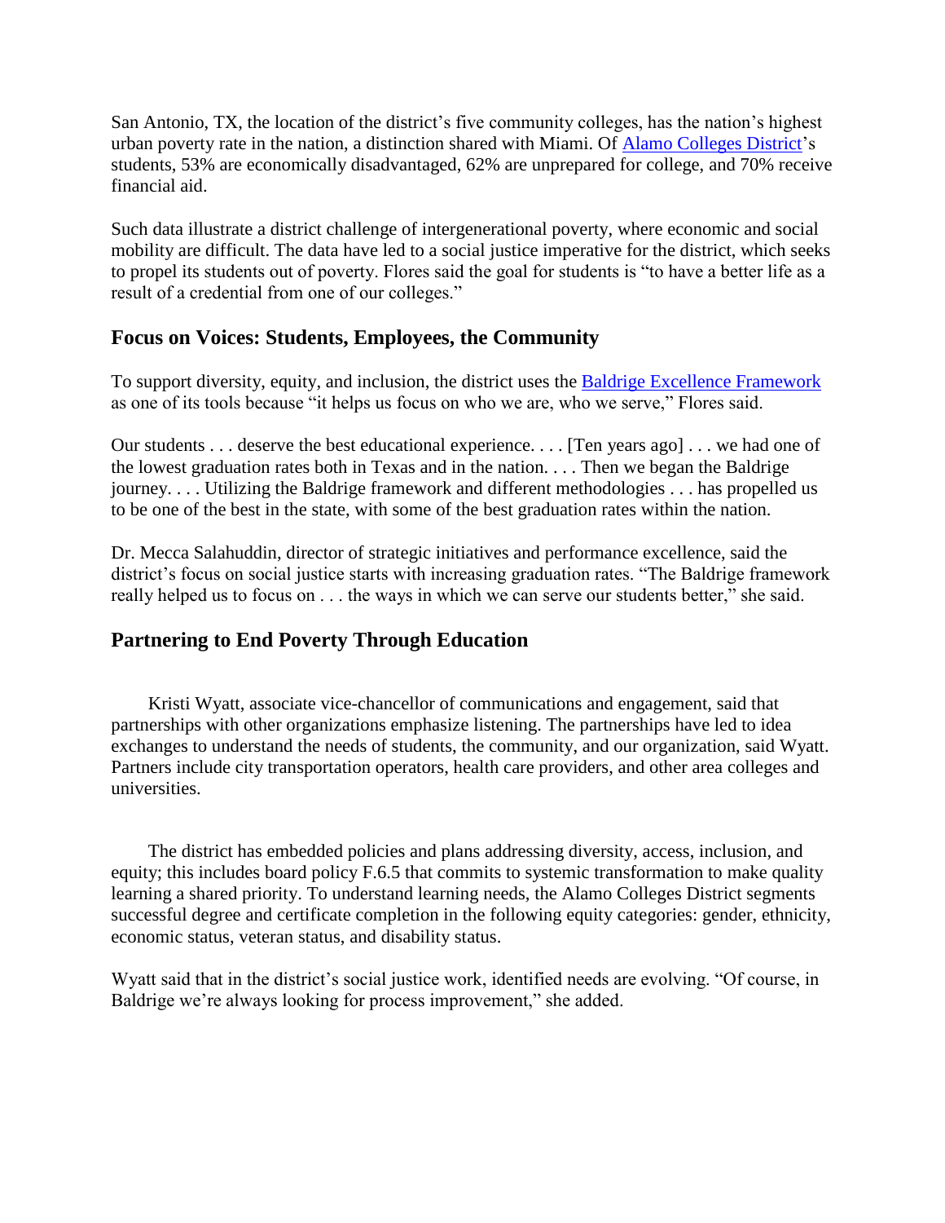San Antonio, TX, the location of the district's five community colleges, has the nation's highest urban poverty rate in the nation, a distinction shared with Miami. Of [Alamo Colleges District'](https://www.alamo.edu/)s students, 53% are economically disadvantaged, 62% are unprepared for college, and 70% receive financial aid.

Such data illustrate a district challenge of intergenerational poverty, where economic and social mobility are difficult. The data have led to a social justice imperative for the district, which seeks to propel its students out of poverty. Flores said the goal for students is "to have a better life as a result of a credential from one of our colleges."

## **Focus on Voices: Students, Employees, the Community**

To support diversity, equity, and inclusion, the district uses the [Baldrige Excellence Framework](https://www.nist.gov/baldrige/publications/baldrige-excellence-framework) as one of its tools because "it helps us focus on who we are, who we serve," Flores said.

Our students . . . deserve the best educational experience. . . . [Ten years ago] . . . we had one of the lowest graduation rates both in Texas and in the nation. . . . Then we began the Baldrige journey. . . . Utilizing the Baldrige framework and different methodologies . . . has propelled us to be one of the best in the state, with some of the best graduation rates within the nation.

Dr. Mecca Salahuddin, director of strategic initiatives and performance excellence, said the district's focus on social justice starts with increasing graduation rates. "The Baldrige framework really helped us to focus on . . . the ways in which we can serve our students better," she said.

## **Partnering to End Poverty Through Education**

Kristi Wyatt, associate vice-chancellor of communications and engagement, said that partnerships with other organizations emphasize listening. The partnerships have led to idea exchanges to understand the needs of students, the community, and our organization, said Wyatt. Partners include city transportation operators, health care providers, and other area colleges and universities.

The district has embedded policies and plans addressing diversity, access, inclusion, and equity; this includes board policy F.6.5 that commits to systemic transformation to make quality learning a shared priority. To understand learning needs, the Alamo Colleges District segments successful degree and certificate completion in the following equity categories: gender, ethnicity, economic status, veteran status, and disability status.

Wyatt said that in the district's social justice work, identified needs are evolving. "Of course, in Baldrige we're always looking for process improvement," she added.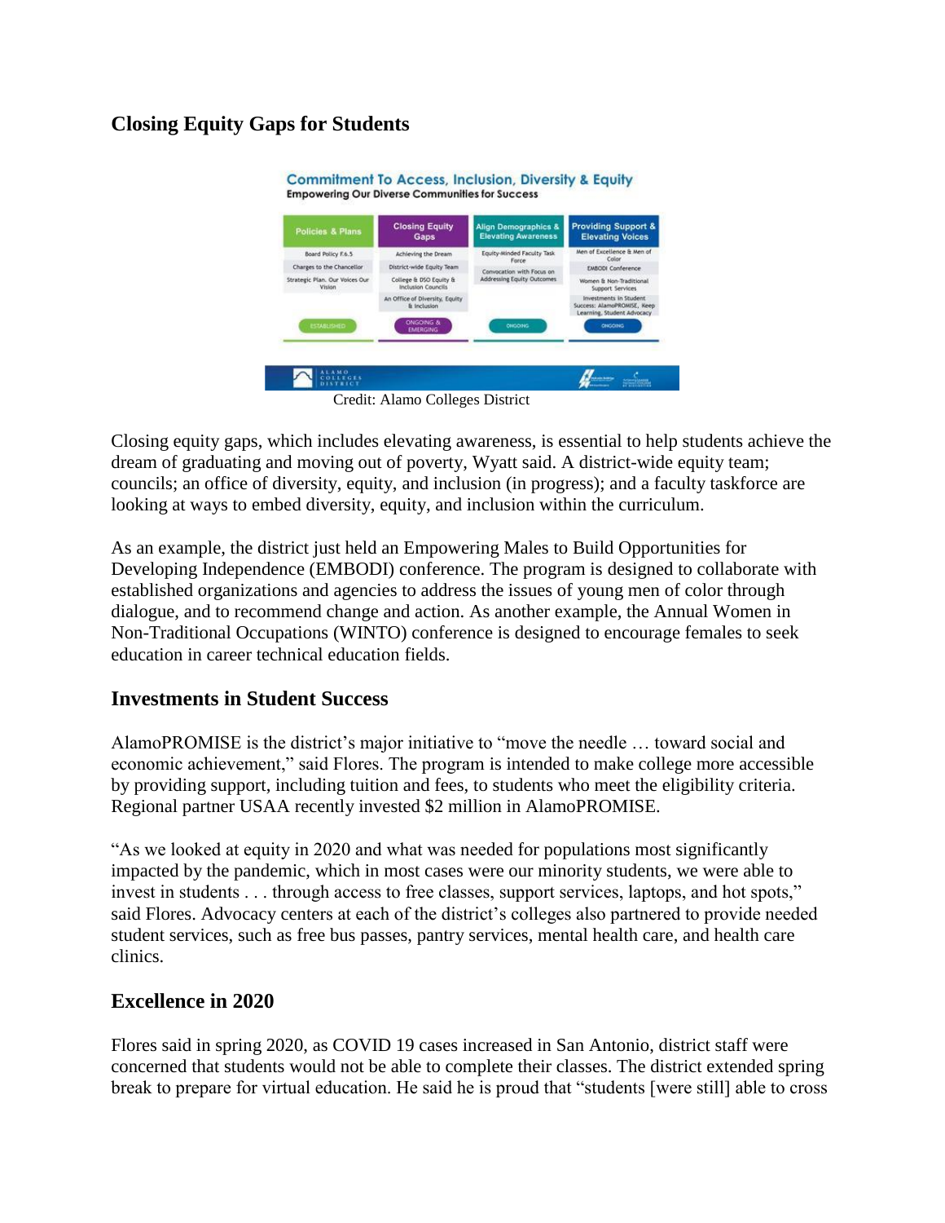## **Closing Equity Gaps for Students**



Credit: Alamo Colleges District

Closing equity gaps, which includes elevating awareness, is essential to help students achieve the dream of graduating and moving out of poverty, Wyatt said. A district-wide equity team; councils; an office of diversity, equity, and inclusion (in progress); and a faculty taskforce are looking at ways to embed diversity, equity, and inclusion within the curriculum.

As an example, the district just held an Empowering Males to Build Opportunities for Developing Independence (EMBODI) conference. The program is designed to collaborate with established organizations and agencies to address the issues of young men of color through dialogue, and to recommend change and action. As another example, the Annual Women in Non-Traditional Occupations (WINTO) conference is designed to encourage females to seek education in career technical education fields.

## **Investments in Student Success**

AlamoPROMISE is the district's major initiative to "move the needle … toward social and economic achievement," said Flores. The program is intended to make college more accessible by providing support, including tuition and fees, to students who meet the eligibility criteria. Regional partner USAA recently invested \$2 million in AlamoPROMISE.

"As we looked at equity in 2020 and what was needed for populations most significantly impacted by the pandemic, which in most cases were our minority students, we were able to invest in students . . . through access to free classes, support services, laptops, and hot spots," said Flores. Advocacy centers at each of the district's colleges also partnered to provide needed student services, such as free bus passes, pantry services, mental health care, and health care clinics.

## **Excellence in 2020**

Flores said in spring 2020, as COVID 19 cases increased in San Antonio, district staff were concerned that students would not be able to complete their classes. The district extended spring break to prepare for virtual education. He said he is proud that "students [were still] able to cross